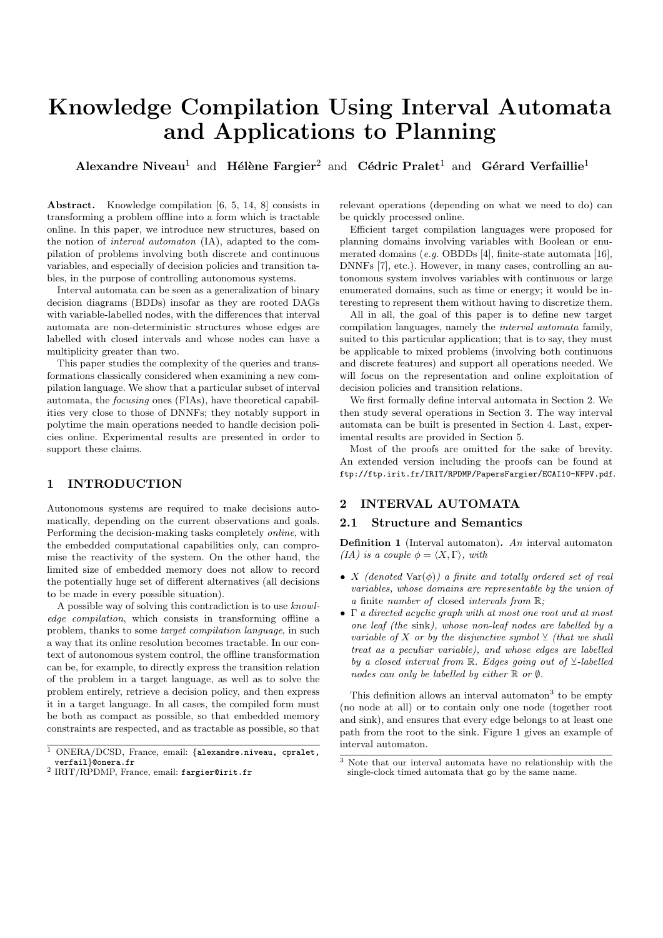# Knowledge Compilation Using Interval Automata and Applications to Planning

Alexandre Niveau<sup>1</sup> and Hélène Fargier<sup>2</sup> and Cédric Pralet<sup>1</sup> and Gérard Verfaillie<sup>1</sup>

Abstract. Knowledge compilation [6, 5, 14, 8] consists in transforming a problem offline into a form which is tractable online. In this paper, we introduce new structures, based on the notion of interval automaton (IA), adapted to the compilation of problems involving both discrete and continuous variables, and especially of decision policies and transition tables, in the purpose of controlling autonomous systems.

Interval automata can be seen as a generalization of binary decision diagrams (BDDs) insofar as they are rooted DAGs with variable-labelled nodes, with the differences that interval automata are non-deterministic structures whose edges are labelled with closed intervals and whose nodes can have a multiplicity greater than two.

This paper studies the complexity of the queries and transformations classically considered when examining a new compilation language. We show that a particular subset of interval automata, the focusing ones (FIAs), have theoretical capabilities very close to those of DNNFs; they notably support in polytime the main operations needed to handle decision policies online. Experimental results are presented in order to support these claims.

# 1 INTRODUCTION

Autonomous systems are required to make decisions automatically, depending on the current observations and goals. Performing the decision-making tasks completely online, with the embedded computational capabilities only, can compromise the reactivity of the system. On the other hand, the limited size of embedded memory does not allow to record the potentially huge set of different alternatives (all decisions to be made in every possible situation).

A possible way of solving this contradiction is to use knowledge compilation, which consists in transforming offline a problem, thanks to some target compilation language, in such a way that its online resolution becomes tractable. In our context of autonomous system control, the offline transformation can be, for example, to directly express the transition relation of the problem in a target language, as well as to solve the problem entirely, retrieve a decision policy, and then express it in a target language. In all cases, the compiled form must be both as compact as possible, so that embedded memory constraints are respected, and as tractable as possible, so that relevant operations (depending on what we need to do) can be quickly processed online.

Efficient target compilation languages were proposed for planning domains involving variables with Boolean or enumerated domains (e.g. OBDDs [4], finite-state automata [16], DNNFs [7], etc.). However, in many cases, controlling an autonomous system involves variables with continuous or large enumerated domains, such as time or energy; it would be interesting to represent them without having to discretize them.

All in all, the goal of this paper is to define new target compilation languages, namely the interval automata family, suited to this particular application; that is to say, they must be applicable to mixed problems (involving both continuous and discrete features) and support all operations needed. We will focus on the representation and online exploitation of decision policies and transition relations.

We first formally define interval automata in Section 2. We then study several operations in Section 3. The way interval automata can be built is presented in Section 4. Last, experimental results are provided in Section 5.

Most of the proofs are omitted for the sake of brevity. An extended version including the proofs can be found at ftp://ftp.irit.fr/IRIT/RPDMP/PapersFargier/ECAI10-NFPV.pdf.

# 2 INTERVAL AUTOMATA

#### 2.1 Structure and Semantics

Definition 1 (Interval automaton). An interval automaton (IA) is a couple  $\phi = \langle X, \Gamma \rangle$ , with

- X (denoted  $\text{Var}(\phi)$ ) a finite and totally ordered set of real variables, whose domains are representable by the union of a finite number of closed intervals from R;
- Γ a directed acyclic graph with at most one root and at most one leaf (the sink), whose non-leaf nodes are labelled by a variable of X or by the disjunctive symbol  $\vee$  (that we shall treat as a peculiar variable), and whose edges are labelled by a closed interval from  $\mathbb R$ . Edges going out of  $\vee$ -labelled nodes can only be labelled by either  $\mathbb R$  or  $\emptyset$ .

This definition allows an interval automaton<sup>3</sup> to be empty (no node at all) or to contain only one node (together root and sink), and ensures that every edge belongs to at least one path from the root to the sink. Figure 1 gives an example of interval automaton.

<sup>&</sup>lt;sup>1</sup> ONERA/DCSD, France, email: {alexandre.niveau, cpralet, verfail}@onera.fr

<sup>&</sup>lt;sup>2</sup> IRIT/RPDMP, France, email: fargier@irit.fr

<sup>3</sup> Note that our interval automata have no relationship with the single-clock timed automata that go by the same name.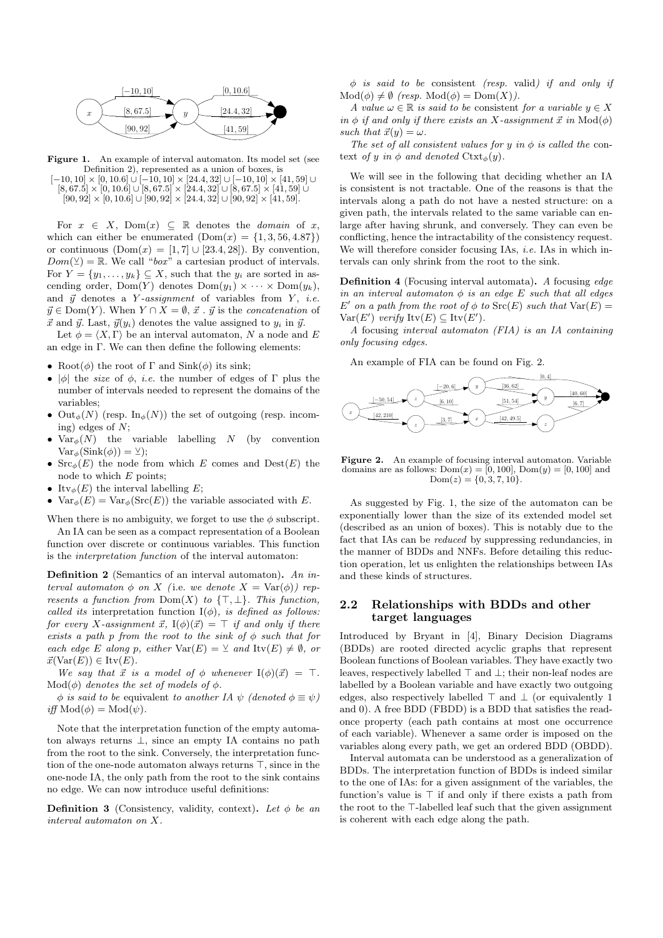

Figure 1. An example of interval automaton. Its model set (see Definition 2), represented as a union of boxes, is  $[-10, 10] \times [0, 10.6]$  ∪  $[-10, 10] \times [24.4, 32]$  ∪  $[-10, 10] \times [41, 59]$  ∪  $[8, 67.5] \times [0, 10.6] \cup [8, 67.5] \times [24.4, 32] \cup [8, 67.5] \times [41, 59] \cup$  $[90, 92] \times [0, 10.6] \cup [90, 92] \times [24.4, 32] \cup [90, 92] \times [41, 59].$ 

For  $x \in X$ , Dom $(x) \subseteq \mathbb{R}$  denotes the *domain* of x, which can either be enumerated  $(Dom(x) = {1, 3, 56, 4.87})$ or continuous  $(Dom(x) = [1, 7] \cup [23.4, 28]$ . By convention,  $Dom(\vee) = \mathbb{R}$ . We call "box" a cartesian product of intervals. For  $Y = \{y_1, \ldots, y_k\} \subseteq X$ , such that the  $y_i$  are sorted in ascending order,  $Dom(Y)$  denotes  $Dom(y_1) \times \cdots \times Dom(y_k)$ , and  $\vec{y}$  denotes a Y-assignment of variables from Y, i.e.  $\vec{y} \in \text{Dom}(Y)$ . When  $Y \cap X = \emptyset$ ,  $\vec{x} \cdot \vec{y}$  is the *concatenation* of  $\vec{x}$  and  $\vec{y}$ . Last,  $\vec{y}(y_i)$  denotes the value assigned to  $y_i$  in  $\vec{y}$ .

Let  $\phi = \langle X, \Gamma \rangle$  be an interval automaton, N a node and E an edge in Γ. We can then define the following elements:

- Root( $\phi$ ) the root of  $\Gamma$  and  $\text{Sink}(\phi)$  its sink;
- $|\phi|$  the *size* of  $\phi$ , *i.e.* the number of edges of  $\Gamma$  plus the number of intervals needed to represent the domains of the variables;
- Out<sub> $\phi(N)$ </sub> (resp. In $_{\phi}(N)$ ) the set of outgoing (resp. incoming) edges of  $N$ ;
- $Var_{\phi}(N)$  the variable labelling N (by convention  $Var_{\phi}(\text{Sink}(\phi)) = \vee$ ;
- $Src_{\phi}(E)$  the node from which E comes and  $Dest(E)$  the node to which  $E$  points;
- Itv<sub>b</sub> $(E)$  the interval labelling E;
- $Var_{\phi}(E) = Var_{\phi}(Src(E))$  the variable associated with E.

When there is no ambiguity, we forget to use the  $\phi$  subscript. An IA can be seen as a compact representation of a Boolean function over discrete or continuous variables. This function is the interpretation function of the interval automaton:

Definition 2 (Semantics of an interval automaton). An interval automaton  $\phi$  on X (i.e. we denote  $X = \text{Var}(\phi)$ ) represents a function from  $Dom(X)$  to  $\{\top, \bot\}$ . This function, called its interpretation function  $I(\phi)$ , is defined as follows: for every X-assignment  $\vec{x}$ ,  $I(\phi)(\vec{x}) = \top$  if and only if there exists a path p from the root to the sink of  $\phi$  such that for each edge E along p, either  $Var(E) = \mathcal{Y}$  and  $Itv(E) \neq \emptyset$ , or  $\vec{x}(\text{Var}(E)) \in \text{Itv}(E).$ 

We say that  $\vec{x}$  is a model of  $\phi$  whenever  $I(\phi)(\vec{x}) = \top$ . Mod( $\phi$ ) denotes the set of models of  $\phi$ .

 $\phi$  is said to be equivalent to another IA  $\psi$  (denoted  $\phi \equiv \psi$ ) iff  $Mod(\phi) = Mod(\psi)$ .

Note that the interpretation function of the empty automaton always returns ⊥, since an empty IA contains no path from the root to the sink. Conversely, the interpretation function of the one-node automaton always returns  $\top$ , since in the one-node IA, the only path from the root to the sink contains no edge. We can now introduce useful definitions:

**Definition 3** (Consistency, validity, context). Let  $\phi$  be an interval automaton on X.

 $\phi$  is said to be consistent (resp. valid) if and only if  $Mod(\phi) \neq \emptyset$  (resp.  $Mod(\phi) = Dom(X)$ ).

A value  $\omega \in \mathbb{R}$  is said to be consistent for a variable  $y \in X$ in  $\phi$  if and only if there exists an X-assignment  $\vec{x}$  in  $Mod(\phi)$ such that  $\vec{x}(y) = \omega$ .

The set of all consistent values for y in  $\phi$  is called the context of y in  $\phi$  and denoted Ctxt<sub> $\phi$ </sub>(y).

We will see in the following that deciding whether an IA is consistent is not tractable. One of the reasons is that the intervals along a path do not have a nested structure: on a given path, the intervals related to the same variable can enlarge after having shrunk, and conversely. They can even be conflicting, hence the intractability of the consistency request. We will therefore consider focusing IAs, *i.e.* IAs in which intervals can only shrink from the root to the sink.

Definition 4 (Focusing interval automata). A focusing edge in an interval automaton  $\phi$  is an edge E such that all edges E' on a path from the root of  $\phi$  to  $\text{Src}(E)$  such that  $\text{Var}(E)$  =  $Var(E')$  verify  $Itv(E) \subseteq Itv(E')$ .

A focusing interval automaton (FIA) is an IA containing only focusing edges.

An example of FIA can be found on Fig. 2.



Figure 2. An example of focusing interval automaton. Variable domains are as follows:  $Dom(x) = [0, 100]$ ,  $Dom(y) = [0, 100]$  and  $Dom(z) = \{0, 3, 7, 10\}.$ 

As suggested by Fig. 1, the size of the automaton can be exponentially lower than the size of its extended model set (described as an union of boxes). This is notably due to the fact that IAs can be reduced by suppressing redundancies, in the manner of BDDs and NNFs. Before detailing this reduction operation, let us enlighten the relationships between IAs and these kinds of structures.

#### 2.2 Relationships with BDDs and other target languages

Introduced by Bryant in [4], Binary Decision Diagrams (BDDs) are rooted directed acyclic graphs that represent Boolean functions of Boolean variables. They have exactly two leaves, respectively labelled  $\top$  and  $\bot$ ; their non-leaf nodes are labelled by a Boolean variable and have exactly two outgoing edges, also respectively labelled  $\top$  and  $\bot$  (or equivalently 1 and 0). A free BDD (FBDD) is a BDD that satisfies the readonce property (each path contains at most one occurrence of each variable). Whenever a same order is imposed on the variables along every path, we get an ordered BDD (OBDD).

Interval automata can be understood as a generalization of BDDs. The interpretation function of BDDs is indeed similar to the one of IAs: for a given assignment of the variables, the function's value is  $\top$  if and only if there exists a path from the root to the  $\top$ -labelled leaf such that the given assignment is coherent with each edge along the path.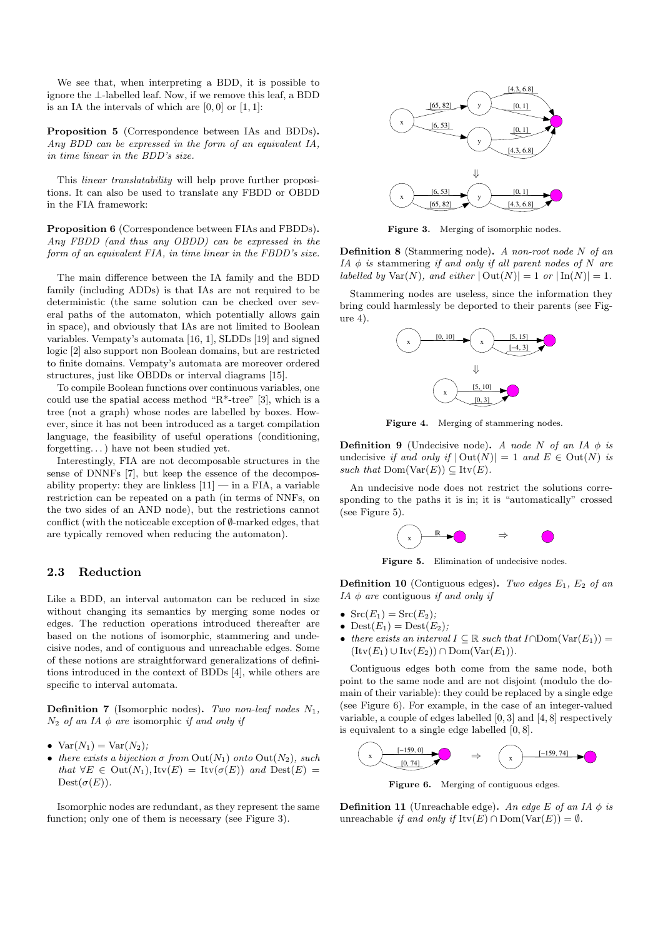We see that, when interpreting a BDD, it is possible to ignore the ⊥-labelled leaf. Now, if we remove this leaf, a BDD is an IA the intervals of which are  $[0, 0]$  or  $[1, 1]$ :

Proposition 5 (Correspondence between IAs and BDDs). Any BDD can be expressed in the form of an equivalent IA, in time linear in the BDD's size.

This *linear translatability* will help prove further propositions. It can also be used to translate any FBDD or OBDD in the FIA framework:

Proposition 6 (Correspondence between FIAs and FBDDs). Any FBDD (and thus any OBDD) can be expressed in the form of an equivalent FIA, in time linear in the FBDD's size.

The main difference between the IA family and the BDD family (including ADDs) is that IAs are not required to be deterministic (the same solution can be checked over several paths of the automaton, which potentially allows gain in space), and obviously that IAs are not limited to Boolean variables. Vempaty's automata [16, 1], SLDDs [19] and signed logic [2] also support non Boolean domains, but are restricted to finite domains. Vempaty's automata are moreover ordered structures, just like OBDDs or interval diagrams [15]. is an IA the interaction of the state of the function of the state of the state of the state of the state of the state of the state of the state of the state of the state of the state of the state of the state of the stat

To compile Boolean functions over continuous variables, one could use the spatial access method "R\*-tree" [3], which is a tree (not a graph) whose nodes are labelled by boxes. However, since it has not been introduced as a target compilation language, the feasibility of useful operations (conditioning, forgetting. . . ) have not been studied yet.

Interestingly, FIA are not decomposable structures in the sense of DNNFs [7], but keep the essence of the decomposability property: they are linkless  $[11]$  — in a FIA, a variable restriction can be repeated on a path (in terms of NNFs, on the two sides of an AND node), but the restrictions cannot conflict (with the noticeable exception of  $\emptyset$ -marked edges, that are typically removed when reducing the automaton).

#### 2.3 Reduction

Like a BDD, an interval automaton can be reduced in size without changing its semantics by merging some nodes or edges. The reduction operations introduced thereafter are based on the notions of isomorphic, stammering and undecisive nodes, and of contiguous and unreachable edges. Some of these notions are straightforward generalizations of definitions introduced in the context of BDDs [4], while others are specific to interval automata.

**Definition 7** (Isomorphic nodes). Two non-leaf nodes  $N_1$ ,  $N_2$  of an IA  $\phi$  are isomorphic if and only if

- $Var(N_1) = Var(N_2);$
- there exists a bijection  $\sigma$  from  $Out(N_1)$  onto  $Out(N_2)$ , such that  $\forall E \in \text{Out}(N_1), \text{Itv}(E) = \text{Itv}(\sigma(E))$  and  $\text{Dest}(E) =$  $\mathrm{Dest}(\sigma(E)).$

Isomorphic nodes are redundant, as they represent the same



Figure 3. Merging of isomorphic nodes.

**Definition 8** (Stammering node). A non-root node  $N$  of an IA  $\phi$  is stammering if and only if all parent nodes of N are labelled by  $\text{Var}(N)$ , and either  $|\text{Out}(N)| = 1$  or  $|\text{In}(N)| = 1$ .

Stammering nodes are useless, since the information they bring could harmlessly be deported to their parents (see Figure 4).



Figure 4. Merging of stammering nodes.

**Definition 9** (Undecisive node). A node N of an IA  $\phi$  is undecisive if and only if  $|\text{Out}(N)| = 1$  and  $E \in \text{Out}(N)$  is such that  $Dom(\text{Var}(E)) \subseteq \text{Itv}(E)$ .

An undecisive node does not restrict the solutions corresponding to the paths it is in; it is "automatically" crossed (see Figure 5).



Figure 5. Elimination of undecisive nodes.

**Definition 10** (Contiguous edges). Two edges  $E_1$ ,  $E_2$  of an IA  $\phi$  are contiguous if and only if

- $\text{Src}(E_1) = \text{Src}(E_2);$
- Dest $(E_1)$  = Dest $(E_2)$ ;
- there exists an interval  $I \subseteq \mathbb{R}$  such that  $I \cap \text{Dom}(\text{Var}(E_1)) =$  $(\text{Itv}(E_1) \cup \text{Itv}(E_2)) \cap \text{Dom}(\text{Var}(E_1)).$

Contiguous edges both come from the same node, both point to the same node and are not disjoint (modulo the domain of their variable): they could be replaced by a single edge (see Figure 6). For example, in the case of an integer-valued variable, a couple of edges labelled  $[0, 3]$  and  $[4, 8]$  respectively is equivalent to a single edge labelled [0, 8].



Figure 6. Merging of contiguous edges.

**Definition 11** (Unreachable edge). An edge E of an IA  $\phi$  is unreachable *if and only if*  $Itv(E) \cap Dom(Var(E)) = \emptyset$ .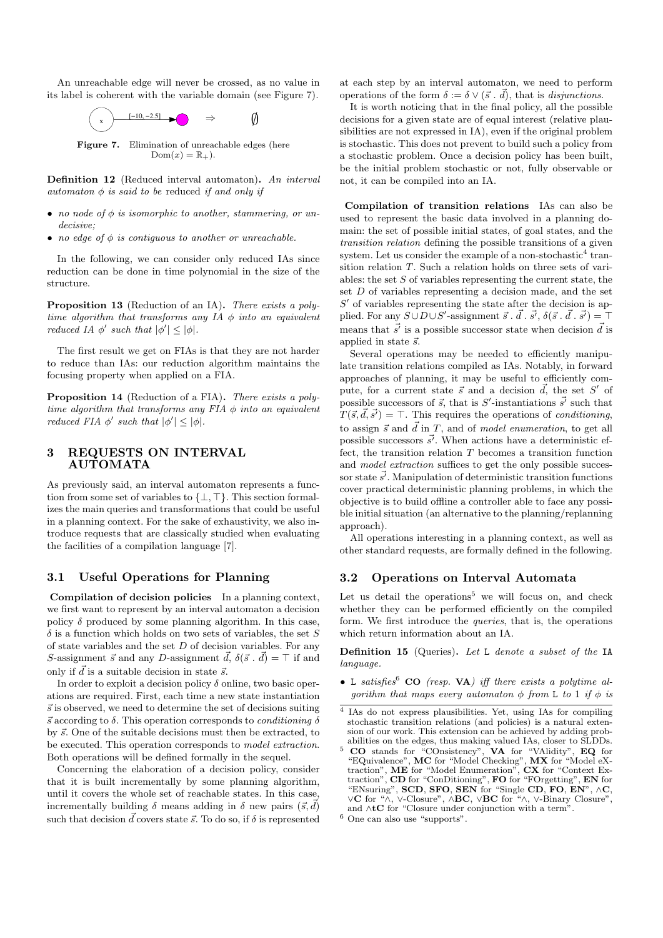An unreachable edge will never be crossed, as no value in its label is coherent with the variable domain (see Figure 7).



Figure 7. Elimination of unreachable edges (here  $Dom(x) = \mathbb{R}_+$ .

Definition 12 (Reduced interval automaton). An interval automaton  $\phi$  is said to be reduced if and only if

- no node of  $\phi$  is isomorphic to another, stammering, or undecisive;
- no edge of  $\phi$  is contiguous to another or unreachable.

In the following, we can consider only reduced IAs since reduction can be done in time polynomial in the size of the structure.

Proposition 13 (Reduction of an IA). There exists a polytime algorithm that transforms any IA  $\phi$  into an equivalent reduced IA  $\phi'$  such that  $|\phi'| \leq |\phi|$ .

The first result we get on FIAs is that they are not harder to reduce than IAs: our reduction algorithm maintains the focusing property when applied on a FIA.

Proposition 14 (Reduction of a FIA). There exists a polytime algorithm that transforms any FIA  $\phi$  into an equivalent reduced FIA  $\phi'$  such that  $|\phi'| \leq |\phi|$ .

#### 3 REQUESTS ON INTERVAL AUTOMATA

As previously said, an interval automaton represents a function from some set of variables to  $\{\bot, \top\}$ . This section formalizes the main queries and transformations that could be useful in a planning context. For the sake of exhaustivity, we also introduce requests that are classically studied when evaluating the facilities of a compilation language [7].

#### 3.1 Useful Operations for Planning

Compilation of decision policies In a planning context, we first want to represent by an interval automaton a decision policy  $\delta$  produced by some planning algorithm. In this case,  $\delta$  is a function which holds on two sets of variables, the set S of state variables and the set D of decision variables. For any S-assignment  $\vec{s}$  and any D-assignment  $\vec{d}$ ,  $\delta(\vec{s} \cdot \vec{d}) = \top$  if and only if  $\vec{d}$  is a suitable decision in state  $\vec{s}$ .

In order to exploit a decision policy  $\delta$  online, two basic operations are required. First, each time a new state instantiation  $\vec{s}$  is observed, we need to determine the set of decisions suiting  $\vec{s}$  according to  $\delta$ . This operation corresponds to *conditioning*  $\delta$ by  $\vec{s}$ . One of the suitable decisions must then be extracted, to be executed. This operation corresponds to model extraction. Both operations will be defined formally in the sequel.

Concerning the elaboration of a decision policy, consider that it is built incrementally by some planning algorithm, until it covers the whole set of reachable states. In this case, incrementally building  $\delta$  means adding in  $\delta$  new pairs  $(\vec{s}, d)$ such that decision  $\vec{d}$  covers state  $\vec{s}$ . To do so, if  $\delta$  is represented

at each step by an interval automaton, we need to perform operations of the form  $\delta := \delta \vee (\vec{s} \cdot \vec{d})$ , that is *disjunctions*.

It is worth noticing that in the final policy, all the possible decisions for a given state are of equal interest (relative plausibilities are not expressed in IA), even if the original problem is stochastic. This does not prevent to build such a policy from a stochastic problem. Once a decision policy has been built, be the initial problem stochastic or not, fully observable or not, it can be compiled into an IA.

Compilation of transition relations IAs can also be used to represent the basic data involved in a planning domain: the set of possible initial states, of goal states, and the transition relation defining the possible transitions of a given system. Let us consider the example of a non-stochastic<sup>4</sup> transition relation T. Such a relation holds on three sets of variables: the set  $S$  of variables representing the current state, the set D of variables representing a decision made, and the set  $S'$  of variables representing the state after the decision is applied. For any  $S \cup D \cup S'$ -assignment  $\vec{s} \cdot \vec{d} \cdot \vec{s'}$ ,  $\delta(\vec{s} \cdot \vec{d} \cdot \vec{s'}) = \top$ means that  $\vec{s'}$  is a possible successor state when decision  $\vec{d}$  is applied in state  $\vec{s}$ .

Several operations may be needed to efficiently manipulate transition relations compiled as IAs. Notably, in forward approaches of planning, it may be useful to efficiently compute, for a current state  $\vec{s}$  and a decision  $\vec{d}$ , the set S' of possible successors of  $\vec{s}$ , that is  $S'$ -instantiations  $\vec{s'}$  such that  $T(\vec{s}, d, \vec{s'}) = \top$ . This requires the operations of conditioning, to assign  $\vec{s}$  and  $\vec{d}$  in T, and of model enumeration, to get all possible successors  $\vec{s'}$ . When actions have a deterministic effect, the transition relation  $T$  becomes a transition function and *model extraction* suffices to get the only possible successor state  $\vec{s'}$ . Manipulation of deterministic transition functions cover practical deterministic planning problems, in which the objective is to build offline a controller able to face any possible initial situation (an alternative to the planning/replanning approach).

All operations interesting in a planning context, as well as other standard requests, are formally defined in the following.

# 3.2 Operations on Interval Automata

Let us detail the operations<sup>5</sup> we will focus on, and check whether they can be performed efficiently on the compiled form. We first introduce the queries, that is, the operations which return information about an IA.

Definition 15 (Queries). Let L denote a subset of the IA language.

• L satisfies  $CO$  (resp. VA) iff there exists a polytime algorithm that maps every automaton  $\phi$  from L to 1 if  $\phi$  is

<sup>4</sup> IAs do not express plausibilities. Yet, using IAs for compiling stochastic transition relations (and policies) is a natural extension of our work. This extension can be achieved by adding prob-

abilities on the edges, thus making valued IAs, closer to SLDDs. <sup>5</sup> CO stands for "COnsistency", VA for "VAlidity", EQ for "EQuivalence", MC for "Model Checking", MX for "Model eXtraction", ME for "Model Enumeration", CX for "Context Extraction", CD for "ConDitioning", FO for "FOrgetting", EN for "ENsuring", SCD, SFO, SEN for "Single CD, FO, EN", ∧C, ∨C for "∧, ∨-Closure", ∧BC, ∨BC for "∧, ∨-Binary Closure", and ∧tC for "Closure under conjunction with a term".

 $^6$  One can also use "supports".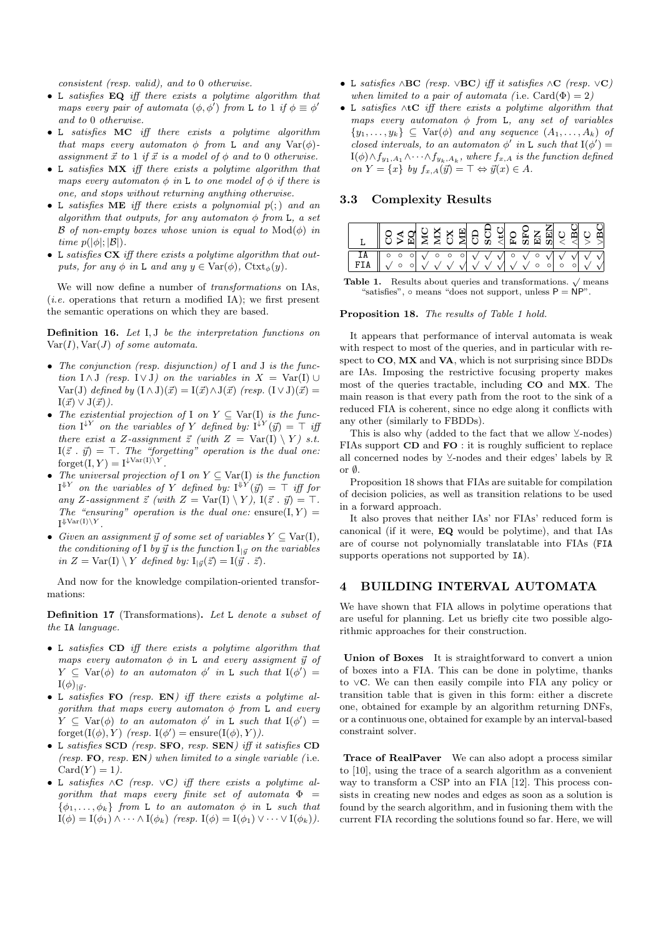consistent (resp. valid), and to 0 otherwise.

- L satisfies EQ iff there exists a polytime algorithm that maps every pair of automata  $(\phi, \phi')$  from L to 1 if  $\phi \equiv \phi'$ and to 0 otherwise.
- L satisfies MC iff there exists a polytime algorithm that maps every automaton  $\phi$  from L and any Var( $\phi$ )assignment  $\vec{x}$  to 1 if  $\vec{x}$  is a model of  $\phi$  and to 0 otherwise.
- L satisfies MX iff there exists a polytime algorithm that maps every automaton  $\phi$  in L to one model of  $\phi$  if there is one, and stops without returning anything otherwise.
- L satisfies ME iff there exists a polynomial  $p($ ;  $)$  and an algorithm that outputs, for any automaton  $\phi$  from L, a set B of non-empty boxes whose union is equal to  $Mod(\phi)$  in time  $p(|\phi|; |\mathcal{B}|)$ .
- L satisfies CX iff there exists a polytime algorithm that outputs, for any  $\phi$  in L and any  $y \in \text{Var}(\phi)$ ,  $\text{Ctxt}_\phi(y)$ .

We will now define a number of transformations on IAs, (*i.e.* operations that return a modified IA); we first present the semantic operations on which they are based.

Definition 16. Let I, J be the interpretation functions on  $Var(I), Var(J)$  of some automata.

- The conjunction (resp. disjunction) of I and J is the function I ∧ J (resp. I ∨ J) on the variables in  $X = \text{Var}(I) \cup$ Var(J) defined by  $(I \wedge J)(\vec{x}) = I(\vec{x}) \wedge J(\vec{x})$  (resp.  $(I \vee J)(\vec{x}) =$  $I(\vec{x}) \vee J(\vec{x})$ .
- The existential projection of I on  $Y \subseteq \text{Var}(I)$  is the function  $I^{\downarrow Y}$  on the variables of Y defined by:  $I^{\downarrow Y}(\vec{y}) = \top$  if there exist a Z-assignment  $\vec{z}$  (with  $Z = \text{Var}(I) \setminus Y$ ) s.t.  $I(\vec{z} \cdot \vec{y}) = \top$ . The "forgetting" operation is the dual one: forget $(I, Y) = I^{\downarrow \text{Var}(I) \setminus Y}$ .
- The universal projection of I on  $Y \subseteq \text{Var}(I)$  is the function  $I^{\Downarrow Y}$  on the variables of Y defined by:  $I^{\Downarrow Y}(\vec{y}) = \top$  iff for any Z-assignment  $\vec{z}$  (with  $Z = \text{Var}(I) \setminus Y$ ),  $I(\vec{z} \cdot \vec{y}) = \top$ . The "ensuring" operation is the dual one: ensure  $(I, Y) =$  $I^{\Downarrow \text{Var}(I)\setminus Y}.$
- Given an assignment  $\vec{y}$  of some set of variables  $Y \subseteq \text{Var}(I)$ , the conditioning of I by  $\vec{y}$  is the function  $I_{|\vec{y}|}$  on the variables in  $Z = \text{Var}(I) \setminus Y$  defined by:  $I_{|\vec{y}}(\vec{z}) = I(\vec{y} \cdot \vec{z}).$

And now for the knowledge compilation-oriented transformations:

Definition 17 (Transformations). Let L denote a subset of the IA language.

- L satisfies CD iff there exists a polytime algorithm that maps every automaton  $\phi$  in L and every assigment  $\vec{y}$  of  $Y \subseteq \text{Var}(\phi)$  to an automaton  $\phi'$  in L such that  $I(\phi') =$  $I(\phi)_{|\vec{y}}$ .
- L satisfies FO (resp. EN) iff there exists a polytime algorithm that maps every automaton  $\phi$  from L and every  $Y \subseteq \text{Var}(\phi)$  to an automaton  $\phi'$  in L such that  $I(\phi') =$ forget(I( $\phi$ ), Y) (resp. I( $\phi'$ ) = ensure(I( $\phi$ ), Y)).
- L satisfies SCD (resp. SFO, resp. SEN) iff it satisfies CD (resp. FO, resp.  $EN$ ) when limited to a single variable (i.e.  $Card(Y) = 1$ .
- L satisfies  $\wedge$ **C** (resp.  $\vee$ **C**) iff there exists a polytime algorithm that maps every finite set of automata  $\Phi =$  $\{\phi_1, \ldots, \phi_k\}$  from L to an automaton  $\phi$  in L such that  $I(\phi) = I(\phi_1) \wedge \cdots \wedge I(\phi_k)$  (resp.  $I(\phi) = I(\phi_1) \vee \cdots \vee I(\phi_k)$ ).
- L satisfies ∧BC (resp. ∨BC) iff it satisfies ∧C (resp.  $\vee$ C) when limited to a pair of automata (i.e.  $Card(\Phi) = 2$ )
- L satisfies ∧tC iff there exists a polytime algorithm that maps every automaton  $\phi$  from L, any set of variables  $\{y_1, \ldots, y_k\} \subseteq \text{Var}(\phi)$  and any sequence  $(A_1, \ldots, A_k)$  of closed intervals, to an automaton  $\phi'$  in L such that  $I(\phi') =$  $I(\phi) \wedge f_{y_1,A_1} \wedge \cdots \wedge f_{y_k,A_k}$ , where  $f_{x,A}$  is the function defined on  $Y = \{x\}$  by  $f_{x,A}(\vec{y}) = \top \Leftrightarrow \vec{y}(x) \in A$ .

# 3.3 Complexity Results

Table 1. Results about queries and transformations.  $\sqrt{\ }$  means "satisfies",  $\circ$  means "does not support, unless  $P = NP$ ".

#### Proposition 18. The results of Table 1 hold.

It appears that performance of interval automata is weak with respect to most of the queries, and in particular with respect to CO, MX and VA, which is not surprising since BDDs are IAs. Imposing the restrictive focusing property makes most of the queries tractable, including CO and MX. The main reason is that every path from the root to the sink of a reduced FIA is coherent, since no edge along it conflicts with any other (similarly to FBDDs).

This is also why (added to the fact that we allow  $\vee$ -nodes) FIAs support CD and FO : it is roughly sufficient to replace all concerned nodes by  $\vee$ -nodes and their edges' labels by  $\mathbb R$ or ∅.

Proposition 18 shows that FIAs are suitable for compilation of decision policies, as well as transition relations to be used in a forward approach.

It also proves that neither IAs' nor FIAs' reduced form is canonical (if it were, EQ would be polytime), and that IAs are of course not polynomially translatable into FIAs (FIA supports operations not supported by IA).

# 4 BUILDING INTERVAL AUTOMATA

We have shown that FIA allows in polytime operations that are useful for planning. Let us briefly cite two possible algorithmic approaches for their construction.

Union of Boxes It is straightforward to convert a union of boxes into a FIA. This can be done in polytime, thanks to ∨C. We can then easily compile into FIA any policy or transition table that is given in this form: either a discrete one, obtained for example by an algorithm returning DNFs, or a continuous one, obtained for example by an interval-based constraint solver.

Trace of RealPaver We can also adopt a process similar to [10], using the trace of a search algorithm as a convenient way to transform a CSP into an FIA [12]. This process consists in creating new nodes and edges as soon as a solution is found by the search algorithm, and in fusioning them with the current FIA recording the solutions found so far. Here, we will